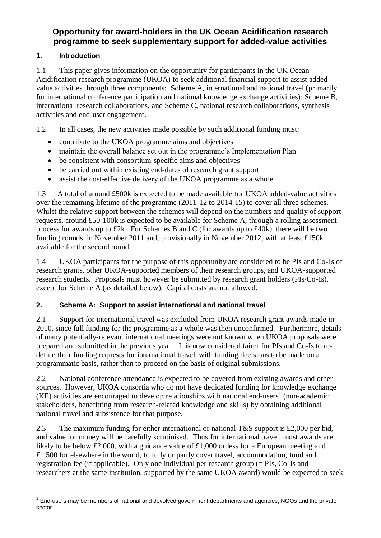# **Opportunity for award-holders in the UK Ocean Acidification research programme to seek supplementary support for added-value activities**

# **1. Introduction**

1.1 This paper gives information on the opportunity for participants in the UK Ocean Acidification research programme (UKOA) to seek additional financial support to assist addedvalue activities through three components: Scheme A, international and national travel (primarily for international conference participation and national knowledge exchange activities); Scheme B, international research collaborations, and Scheme C, national research collaborations, synthesis activities and end-user engagement.

1.2 In all cases, the new activities made possible by such additional funding must:

- contribute to the UKOA programme aims and objectives
- maintain the overall balance set out in the programme's Implementation Plan
- be consistent with consortium-specific aims and objectives
- be carried out within existing end-dates of research grant support
- assist the cost-effective delivery of the UKOA programme as a whole.

1.3 A total of around £500k is expected to be made available for UKOA added-value activities over the remaining lifetime of the programme (2011-12 to 2014-15) to cover all three schemes. Whilst the relative support between the schemes will depend on the numbers and quality of support requests, around £50-100k is expected to be available for Scheme A, through a rolling assessment process for awards up to £2k. For Schemes B and C (for awards up to £40k), there will be two funding rounds, in November 2011 and, provisionally in November 2012, with at least £150k available for the second round.

1.4 UKOA participants for the purpose of this opportunity are considered to be PIs and Co-Is of research grants, other UKOA-supported members of their research groups, and UKOA-supported research students. Proposals must however be submitted by research grant holders (PIs/Co-Is), except for Scheme A (as detailed below). Capital costs are not allowed.

# **2. Scheme A: Support to assist international and national travel**

2.1 Support for international travel was excluded from UKOA research grant awards made in 2010, since full funding for the programme as a whole was then unconfirmed. Furthermore, details of many potentially-relevant international meetings were not known when UKOA proposals were prepared and submitted in the previous year. It is now considered fairer for PIs and Co-Is to redefine their funding requests for international travel, with funding decisions to be made on a programmatic basis, rather than to proceed on the basis of original submissions.

2.2 National conference attendance is expected to be covered from existing awards and other sources. However, UKOA consortia who do not have dedicated funding for knowledge exchange  $(KE)$  activities are encouraged to develop relationships with national end-users<sup>1</sup> (non-academic stakeholders, benefitting from research-related knowledge and skills) by obtaining additional national travel and subsistence for that purpose.

2.3 The maximum funding for either international or national T&S support is £2,000 per bid, and value for money will be carefully scrutinised. Thus for international travel, most awards are likely to be below £2,000, with a guidance value of £1,000 or less for a European meeting and £1,500 for elsewhere in the world, to fully or partly cover travel, accommodation, food and registration fee (if applicable). Only one individual per research group (= PIs, Co-Is and researchers at the same institution, supported by the same UKOA award) would be expected to seek

 $\overline{a}$ <sup>1</sup> End-users may be members of national and devolved government departments and agencies, NGOs and the private sector.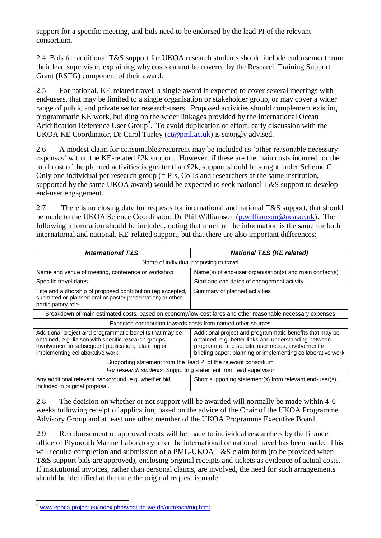support for a specific meeting, and bids need to be endorsed by the lead PI of the relevant consortium.

2.4 Bids for additional T&S support for UKOA research students should include endorsement from their lead supervisor, explaining why costs cannot be covered by the Research Training Support Grant (RSTG) component of their award.

2.5 For national, KE-related travel, a single award is expected to cover several meetings with end-users, that may be limited to a single organisation or stakeholder group, or may cover a wider range of public and private sector research-users. Proposed activities should complement existing programmatic KE work, building on the wider linkages provided by the international Ocean Acidification Reference User  $Group^2$ . To avoid duplication of effort, early discussion with the UKOA KE Coordinator, Dr Carol Turley [\(ct@pml.ac.uk\)](mailto:ct@pml.ac.uk) is strongly advised.

2.6 A modest claim for consumables/recurrent may be included as 'other reasonable necessary expenses' within the KE-related £2k support. However, if these are the main costs incurred, or the total cost of the planned activities is greater than £2k, support should be sought under Scheme C. Only one individual per research group  $(=$  PIs, Co-Is and researchers at the same institution, supported by the same UKOA award) would be expected to seek national T&S support to develop end-user engagement.

2.7 There is no closing date for requests for international and national T&S support, that should be made to the UKOA Science Coordinator, Dr Phil Williamson [\(p.williamson@uea.ac.uk\)](mailto:p.williamson@uea.ac.uk). The following information should be included, noting that much of the information is the same for both international and national, KE-related support, but that there are also important differences:

| <b>International T&amp;S</b>                                                                                                                                                                               | <b>National T&amp;S (KE related)</b>                                                                                                                                                                                                  |  |  |  |
|------------------------------------------------------------------------------------------------------------------------------------------------------------------------------------------------------------|---------------------------------------------------------------------------------------------------------------------------------------------------------------------------------------------------------------------------------------|--|--|--|
| Name of individual proposing to travel                                                                                                                                                                     |                                                                                                                                                                                                                                       |  |  |  |
| Name and venue of meeting, conference or workshop                                                                                                                                                          | Name(s) of end-user organisation(s) and main contact(s)                                                                                                                                                                               |  |  |  |
| Specific travel dates                                                                                                                                                                                      | Start and end dates of engagement activity                                                                                                                                                                                            |  |  |  |
| Title and authorship of proposed contribution (eg accepted,<br>submitted or planned oral or poster presentation) or other<br>participatory role                                                            | Summary of planned activities                                                                                                                                                                                                         |  |  |  |
| Breakdown of main estimated costs, based on economy/low-cost fares and other reasonable necessary expenses                                                                                                 |                                                                                                                                                                                                                                       |  |  |  |
| Expected contribution towards costs from named other sources                                                                                                                                               |                                                                                                                                                                                                                                       |  |  |  |
| Additional project and programmatic benefits that may be<br>obtained, e.g. liaison with specific research groups,<br>involvement in subsequent publication; planning or<br>implementing collaborative work | Additional project and programmatic benefits that may be<br>obtained, e.g. better links and understanding between<br>programme and specific user needs; involvement in<br>briefing paper; planning or implementing collaborative work |  |  |  |
| Supporting statement from the lead PI of the relevant consortium                                                                                                                                           |                                                                                                                                                                                                                                       |  |  |  |
| For research students: Supporting statement from lead supervisor                                                                                                                                           |                                                                                                                                                                                                                                       |  |  |  |
| Any additional relevant background, e.g. whether bid<br>included in original proposal.                                                                                                                     | Short supporting statement(s) from relevant end-user(s),                                                                                                                                                                              |  |  |  |

2.8 The decision on whether or not support will be awarded will normally be made within 4-6 weeks following receipt of application, based on the advice of the Chair of the UKOA Programme Advisory Group and at least one other member of the UKOA Programme Executive Board.

2.9 Reimbursement of approved costs will be made to individual researchers by the finance office of Plymouth Marine Laboratory after the international or national travel has been made. This will require completion and submission of a PML-UKOA T&S claim form (to be provided when T&S support bids are approved), enclosing original receipts and tickets as evidence of actual costs. If institutional invoices, rather than personal claims, are involved, the need for such arrangements should be identified at the time the original request is made.

<sup>1</sup> <sup>2</sup> [www.epoca-project.eu/index.php/what-do-we-do/outreach/rug.html](http://www.epoca-project.eu/index.php/what-do-we-do/outreach/rug.html)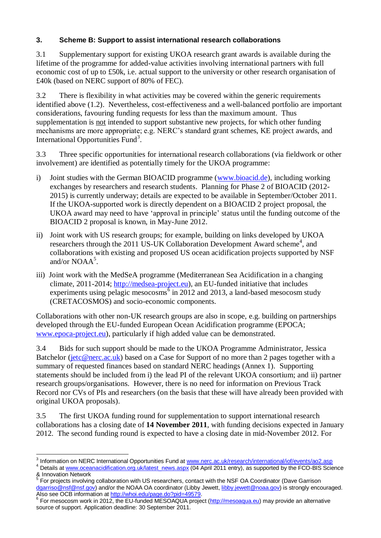# **3. Scheme B: Support to assist international research collaborations**

3.1 Supplementary support for existing UKOA research grant awards is available during the lifetime of the programme for added-value activities involving international partners with full economic cost of up to £50k, i.e. actual support to the university or other research organisation of £40k (based on NERC support of 80% of FEC).

3.2 There is flexibility in what activities may be covered within the generic requirements identified above (1.2). Nevertheless, cost-effectiveness and a well-balanced portfolio are important considerations, favouring funding requests for less than the maximum amount. Thus supplementation is not intended to support substantive new projects, for which other funding mechanisms are more appropriate; e.g. NERC's standard grant schemes, KE project awards, and International Opportunities Fund<sup>3</sup>.

3.3 Three specific opportunities for international research collaborations (via fieldwork or other involvement) are identified as potentially timely for the UKOA programme:

- i) Joint studies with the German BIOACID programme [\(www.bioacid.de\)](http://www.bioacid.de/), including working exchanges by researchers and research students. Planning for Phase 2 of BIOACID (2012- 2015) is currently underway; details are expected to be available in September/October 2011. If the UKOA-supported work is directly dependent on a BIOACID 2 project proposal, the UKOA award may need to have 'approval in principle' status until the funding outcome of the BIOACID 2 proposal is known, in May-June 2012.
- ii) Joint work with US research groups; for example, building on links developed by UKOA researchers through the 2011 US-UK Collaboration Development Award scheme<sup>4</sup>, and collaborations with existing and proposed US ocean acidification projects supported by NSF and/or NOAA<sup>5</sup>.
- iii) Joint work with the MedSeA programme (Mediterranean Sea Acidification in a changing climate, 2011-2014[; http://medsea-project.eu\)](http://medsea-project.eu/), an EU-funded initiative that includes experiments using pelagic mesocosms<sup> $6$ </sup> in 2012 and 2013, a land-based mesocosm study (CRETACOSMOS) and socio-economic components.

Collaborations with other non-UK research groups are also in scope, e.g. building on partnerships developed through the EU-funded European Ocean Acidification programme (EPOCA; [www.epoca-project.eu\)](http://www.epoca-project.eu/), particularly if high added value can be demonstrated.

3.4 Bids for such support should be made to the UKOA Programme Administrator, Jessica Batchelor [\(jetc@nerc.ac.uk\)](mailto:jetc@nerc.ac.uk) based on a Case for Support of no more than 2 pages together with a summary of requested finances based on standard NERC headings (Annex 1). Supporting statements should be included from i) the lead PI of the relevant UKOA consortium; and ii) partner research groups/organisations. However, there is no need for information on Previous Track Record nor CVs of PIs and researchers (on the basis that these will have already been provided with original UKOA proposals).

3.5 The first UKOA funding round for supplementation to support international research collaborations has a closing date of **14 November 2011**, with funding decisions expected in January 2012. The second funding round is expected to have a closing date in mid-November 2012. For

 3 Information on NERC International Opportunities Fund a[t www.nerc.ac.uk/research/international/iof/events/ao2.asp](http://www.nerc.ac.uk/research/international/iof/events/ao2.asp)

<sup>&</sup>lt;sup>4</sup> Details a[t www.oceanacidification.org.uk/latest\\_news.aspx](http://www.oceanacidification.org.uk/latest_news.aspx) (04 April 2011 entry), as supported by the FCO-BIS Science & Innovation Network

For projects involving collaboration with US researchers, contact with the NSF OA Coordinator (Dave Garrison [dgarriso@nsf@nsf.gov\)](mailto:dgarriso@nsf@nsf.gov) and/or the NOAA OA coordinator (Libby Jewett, [libby.jewett@noaa.gov\)](mailto:libby.jewett@noaa.gov) is strongly encouraged. Also see OCB information at [http://whoi.edu/page.do?pid=49579.](http://whoi.edu/page.do?pid=49579)

<sup>&</sup>lt;sup>6</sup> For mesocosm work in 2012, the EU-funded MESOAQUA project [\(http://mesoaqua.eu\)](http://mesoaqua.eu/) may provide an alternative source of support. Application deadline: 30 September 2011.